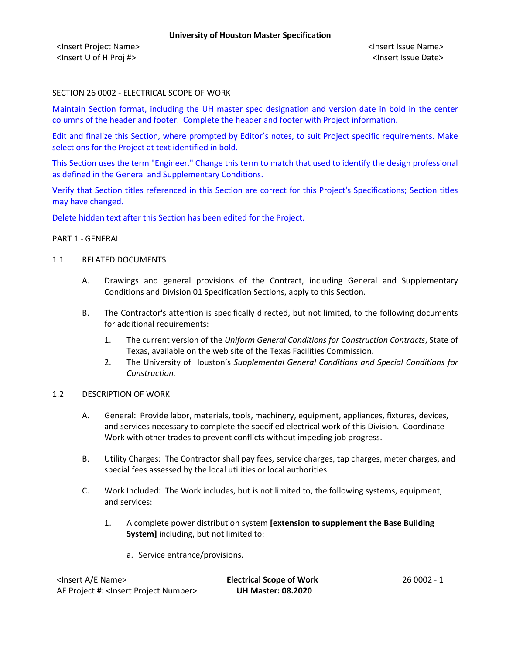<Insert Project Name> <Insert Issue Name> <Insert U of H Proj #> <Insert Issue Date>

## SECTION 26 0002 - ELECTRICAL SCOPE OF WORK

Maintain Section format, including the UH master spec designation and version date in bold in the center columns of the header and footer. Complete the header and footer with Project information.

Edit and finalize this Section, where prompted by Editor's notes, to suit Project specific requirements. Make selections for the Project at text identified in bold.

This Section uses the term "Engineer." Change this term to match that used to identify the design professional as defined in the General and Supplementary Conditions.

Verify that Section titles referenced in this Section are correct for this Project's Specifications; Section titles may have changed.

Delete hidden text after this Section has been edited for the Project.

### PART 1 - GENERAL

### 1.1 RELATED DOCUMENTS

- A. Drawings and general provisions of the Contract, including General and Supplementary Conditions and Division 01 Specification Sections, apply to this Section.
- B. The Contractor's attention is specifically directed, but not limited, to the following documents for additional requirements:
	- 1. The current version of the *Uniform General Conditions for Construction Contracts*, State of Texas, available on the web site of the Texas Facilities Commission.
	- 2. The University of Houston's *Supplemental General Conditions and Special Conditions for Construction.*

### 1.2 DESCRIPTION OF WORK

- A. General: Provide labor, materials, tools, machinery, equipment, appliances, fixtures, devices, and services necessary to complete the specified electrical work of this Division. Coordinate Work with other trades to prevent conflicts without impeding job progress.
- B. Utility Charges: The Contractor shall pay fees, service charges, tap charges, meter charges, and special fees assessed by the local utilities or local authorities.
- C. Work Included: The Work includes, but is not limited to, the following systems, equipment, and services:
	- 1. A complete power distribution system **[extension to supplement the Base Building System]** including, but not limited to:
		- a. Service entrance/provisions.

| <insert a="" e="" name=""></insert>                  | <b>Electrical Scope of Work</b> | 26 0002 - 1 |
|------------------------------------------------------|---------------------------------|-------------|
| AE Project #: <lnsert number="" project=""></lnsert> | <b>UH Master: 08.2020</b>       |             |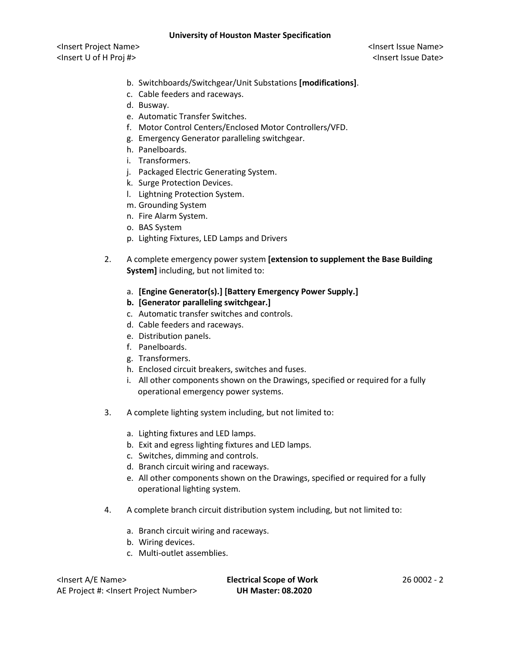## **University of Houston Master Specification**

<Insert Project Name> <Insert Issue Name> <Insert U of H Proj #> <Insert Issue Date>

- b. Switchboards/Switchgear/Unit Substations **[modifications]**.
- c. Cable feeders and raceways.
- d. Busway.
- e. Automatic Transfer Switches.
- f. Motor Control Centers/Enclosed Motor Controllers/VFD.
- g. Emergency Generator paralleling switchgear.
- h. Panelboards.
- i. Transformers.
- j. Packaged Electric Generating System.
- k. Surge Protection Devices.
- l. Lightning Protection System.
- m. Grounding System
- n. Fire Alarm System.
- o. BAS System
- p. Lighting Fixtures, LED Lamps and Drivers
- 2. A complete emergency power system **[extension to supplement the Base Building System]** including, but not limited to:
	- a. **[Engine Generator(s).] [Battery Emergency Power Supply.]**
	- **b. [Generator paralleling switchgear.]**
	- c. Automatic transfer switches and controls.
	- d. Cable feeders and raceways.
	- e. Distribution panels.
	- f. Panelboards.
	- g. Transformers.
	- h. Enclosed circuit breakers, switches and fuses.
	- i. All other components shown on the Drawings, specified or required for a fully operational emergency power systems.
- 3. A complete lighting system including, but not limited to:
	- a. Lighting fixtures and LED lamps.
	- b. Exit and egress lighting fixtures and LED lamps.
	- c. Switches, dimming and controls.
	- d. Branch circuit wiring and raceways.
	- e. All other components shown on the Drawings, specified or required for a fully operational lighting system.
- 4. A complete branch circuit distribution system including, but not limited to:
	- a. Branch circuit wiring and raceways.
	- b. Wiring devices.
	- c. Multi-outlet assemblies.

<Insert A/E Name> **Electrical Scope of Work** 26 0002 - 2 AE Project #: <Insert Project Number> **UH Master: 08.2020**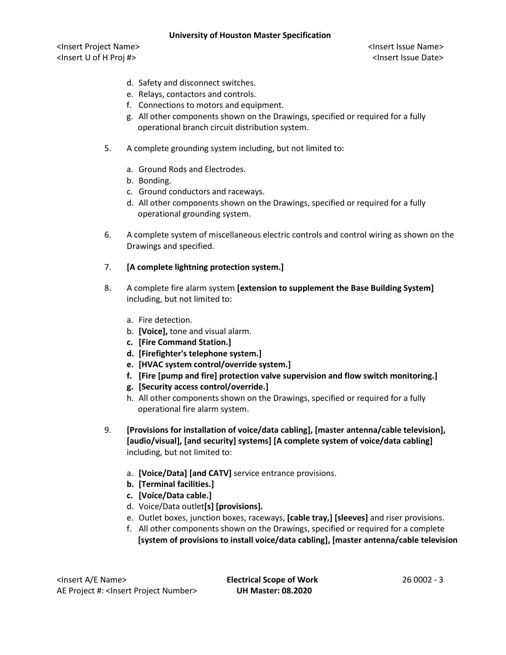## **University of Houston Master Specification**

<Insert Project Name> <Insert Issue Name> <Insert U of H Proj #> <Insert Issue Date>

- d. Safety and disconnect switches.
- e. Relays, contactors and controls.
- f. Connections to motors and equipment.
- g. All other components shown on the Drawings, specified or required for a fully operational branch circuit distribution system.
- 5. A complete grounding system including, but not limited to:
	- a. Ground Rods and Electrodes.
	- b. Bonding.
	- c. Ground conductors and raceways.
	- d. All other components shown on the Drawings, specified or required for a fully operational grounding system.
- 6. A complete system of miscellaneous electric controls and control wiring as shown on the Drawings and specified.

# 7. **[A complete lightning protection system.]**

- 8. A complete fire alarm system **[extension to supplement the Base Building System]** including, but not limited to:
	- a. Fire detection.
	- b. **[Voice],** tone and visual alarm.
	- **c. [Fire Command Station.]**
	- **d. [Firefighter's telephone system.]**
	- **e. [HVAC system control/override system.]**
	- **f. [Fire [pump and fire] protection valve supervision and flow switch monitoring.]**
	- **g. [Security access control/override.]**
	- h. All other components shown on the Drawings, specified or required for a fully operational fire alarm system.
- 9. **[Provisions for installation of voice/data cabling], [master antenna/cable television], [audio/visual], [and security] systems] [A complete system of voice/data cabling]** including, but not limited to:
	- a. **[Voice/Data] [and CATV]** service entrance provisions.
	- **b. [Terminal facilities.]**
	- **c. [Voice/Data cable.]**
	- d. Voice/Data outlet**[s] [provisions].**
	- e. Outlet boxes, junction boxes, raceways, **[cable tray,] [sleeves]** and riser provisions.
	- f. All other components shown on the Drawings, specified or required for a complete **[system of provisions to install voice/data cabling], [master antenna/cable television**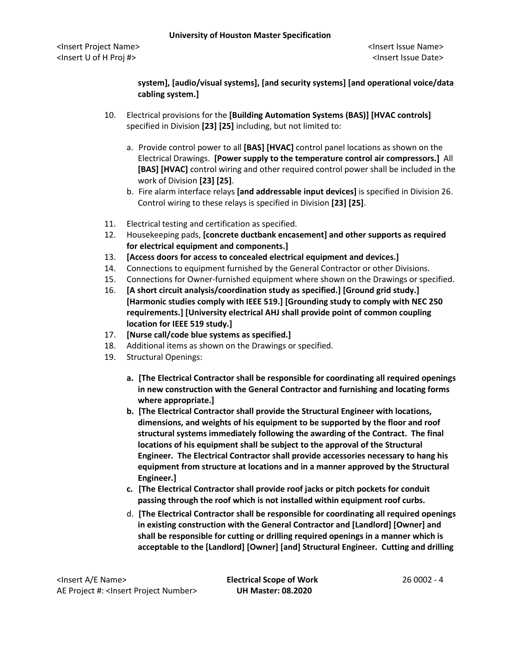# **system], [audio/visual systems], [and security systems] [and operational voice/data cabling system.]**

- 10. Electrical provisions for the **[Building Automation Systems (BAS)] [HVAC controls]** specified in Division **[23] [25]** including, but not limited to:
	- a. Provide control power to all **[BAS] [HVAC]** control panel locations as shown on the Electrical Drawings. **[Power supply to the temperature control air compressors.]** All **[BAS] [HVAC]** control wiring and other required control power shall be included in the work of Division **[23] [25]**.
	- b. Fire alarm interface relays **[and addressable input devices]** is specified in Division 26. Control wiring to these relays is specified in Division **[23] [25]**.
- 11. Electrical testing and certification as specified.
- 12. Housekeeping pads, **[concrete ductbank encasement] and other supports as required for electrical equipment and components.]**
- 13. **[Access doors for access to concealed electrical equipment and devices.]**
- 14. Connections to equipment furnished by the General Contractor or other Divisions.
- 15. Connections for Owner-furnished equipment where shown on the Drawings or specified.
- 16. **[A short circuit analysis/coordination study as specified.] [Ground grid study.] [Harmonic studies comply with IEEE 519.] [Grounding study to comply with NEC 250 requirements.] [University electrical AHJ shall provide point of common coupling location for IEEE 519 study.]**
- 17. **[Nurse call/code blue systems as specified.]**
- 18. Additional items as shown on the Drawings or specified.
- 19. Structural Openings:
	- **a. [The Electrical Contractor shall be responsible for coordinating all required openings in new construction with the General Contractor and furnishing and locating forms where appropriate.]**
	- **b. [The Electrical Contractor shall provide the Structural Engineer with locations, dimensions, and weights of his equipment to be supported by the floor and roof structural systems immediately following the awarding of the Contract. The final locations of his equipment shall be subject to the approval of the Structural Engineer. The Electrical Contractor shall provide accessories necessary to hang his equipment from structure at locations and in a manner approved by the Structural Engineer.]**
	- **c. [The Electrical Contractor shall provide roof jacks or pitch pockets for conduit passing through the roof which is not installed within equipment roof curbs.**
	- d. **[The Electrical Contractor shall be responsible for coordinating all required openings in existing construction with the General Contractor and [Landlord] [Owner] and shall be responsible for cutting or drilling required openings in a manner which is acceptable to the [Landlord] [Owner] [and] Structural Engineer. Cutting and drilling**